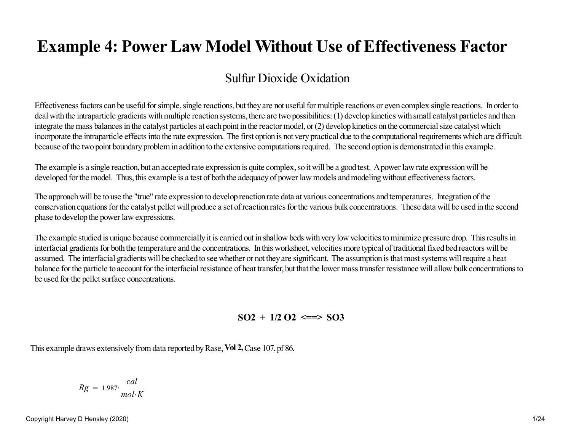# **Example 4: Power Law Model Without Use of Effectiveness Factor**

## Sulfur Dioxide Oxidation

Effectiveness factors can be useful for simple, single reactions, but they are not useful for multiple reactions or even complex single reactions. In order to deal with the intraparticle gradients with multiple reaction systems, there are two possibilities: (1) develop kinetics with small catalyst particles and thenintegrate the mass balances in the catalyst particles at each point in the reactor model, or (2) develop kinetics on the commercial size catalyst which incorporate the intraparticle effects into the rate expression. The first option is not very practical due to the computational requirements which are difficultbecause of the two point boundary problem in addition to the extensive computations required. The second option is demonstrated in this example.

The example is a single reaction, but an accepted rate expression is quite complex, so it will be a good test. A power law rate expression will bedeveloped for the model. Thus, this example is a test of both the adequacy of power law models and modeling without effectiveness factors.

The approach will be to use the "true" rate expression to develop reaction rate data at various concentrations and temperatures. Integration of the conservation equations for the catalyst pellet will produce a set of reaction rates for the various bulk concentrations. These data will be used in the secondphase to develop the power law expressions.

The example studied is unique because commercially it is carried out in shallow beds with very low velocities to minimize pressure drop. This results ininterfacial gradients for both the temperature and the concentrations. In this worksheet, velocities more typical of traditional fixed bed reactors will be assumed. The interfacial gradients will be checked to see whether or not they are significant. The assumption is that most systems will require a heat balance for the particle to account for the interfacial resistance of heat transfer, but that the lower mass transfer resistance will allow bulk concentrations tobe used for the pellet surface concentrations.

 $SO2 + 1/2 O2 \leq >> SO3$ 

This example draws extensively from data reported by Rase, **Vol 2,** Case 107, pf 86.

$$
Rg = 1.987 \cdot \frac{cal}{mol \cdot K}
$$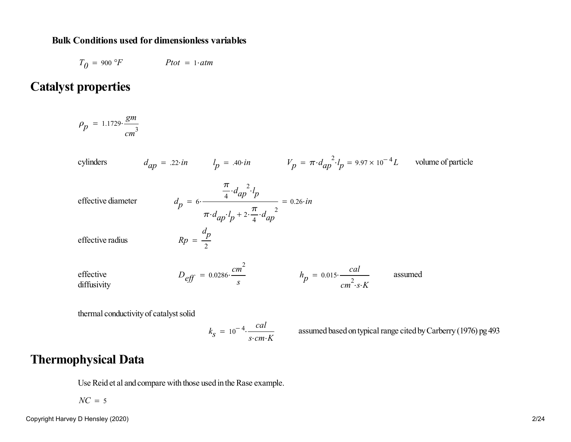### **Bulk Conditions used for dimensionless variables**

 $T_{0}$  = 900 °F *Ptot* = 1*atm* 

## **Catalyst properties**

 $\rho_p = 1.1729 \cdot \frac{gm}{cm^3}$  $=$  1.1/29.

cylinders  
\n
$$
d_{ap} = .22 \cdot in \t l_p = .40 \cdot in \t V_p = \pi \cdot d_{ap}^2 \cdot l_p = 9.97 \times 10^{-4} L \t volume of particle
$$
\neffective diameter  
\n
$$
d_p = 6 \cdot \frac{\frac{\pi}{4} \cdot d_{ap}^2 \cdot l_p}{\pi \cdot d_{ap}^2 \cdot l_p + 2 \cdot \frac{\pi}{4} \cdot d_{ap}^2} = 0.26 \cdot in
$$
\neffective radius  
\n
$$
Rp = \frac{d_p}{2}
$$
\neffective radius  
\ndiffusivity  
\n
$$
D_{eff} = 0.0286 \cdot \frac{cm^2}{s}
$$
\n
$$
h_p = 0.015 \cdot \frac{cal}{cm^2 \cdot s \cdot K}
$$
\nassumed

thermal conductivity of catalyst solid

$$
k_S = 10^{-4} \cdot \frac{cal}{s \cdot cm \cdot K}
$$
 assumed based on typical range cited by Carberry (1976) pg 493

## **Thermophysical Data**

Use Reid et al and compare with those used in the Rase example.

*NC* <sup>=</sup> <sup>5</sup>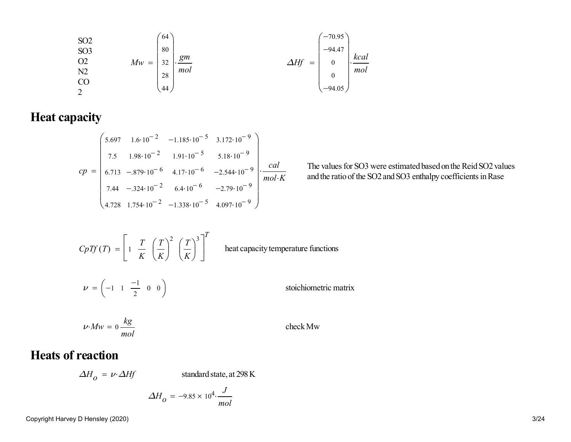SO2SO3O2N2CO2*Mw*6480322844*gmmol* <sup>=</sup> *<sup>∆</sup>Hf* -70.95 -94.47 <sup>00</sup> -94.05 *kcal mol* <sup>=</sup>

**Heat capacity**

$$
cp = \begin{pmatrix} 5.697 & 1.6 \cdot 10^{-2} & -1.185 \cdot 10^{-5} & 3.172 \cdot 10^{-9} \\ 7.5 & 1.98 \cdot 10^{-2} & 1.91 \cdot 10^{-5} & 5.18 \cdot 10^{-9} \\ 6.713 & -.879 \cdot 10^{-6} & 4.17 \cdot 10^{-6} & -2.544 \cdot 10^{-9} \\ 7.44 & -.324 \cdot 10^{-2} & 6.4 \cdot 10^{-6} & -2.79 \cdot 10^{-9} \\ 4.728 & 1.754 \cdot 10^{-2} & -1.338 \cdot 10^{-5} & 4.097 \cdot 10^{-9} \end{pmatrix} \cdot \frac{cal}{mol \cdot K}
$$
  
The values for SO3 were estimated based on the Reid SO2 val and the ratio of the SO2 and SO3 enthalpy coefficients in Ras

The values for SO3 were estimated based on the Reid SO2 values

$$
CpTf(T) = \left[1 \frac{T}{K} \left(\frac{T}{K}\right)^2 \left(\frac{T}{K}\right)^3\right]^T
$$
 heat capacity temperature functions  

$$
\nu = \left(-1 \quad 1 \quad \frac{-1}{2} \quad 0 \quad 0\right)
$$
stoichiometric matrix

$$
\nu \cdot Mw = 0 \frac{kg}{mol}
$$
 check Mw

## **Heats of reaction**

 $\Delta H$ <sub>0</sub> =  $\nu$ *⋅* $\Delta H$ *f* 

*standard state, at 298 K* 

$$
\Delta H_O = -9.85 \times 10^4 \cdot \frac{J}{mol}
$$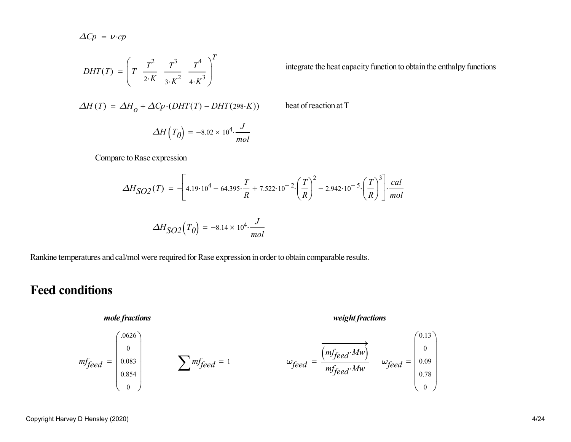$$
\Delta C p = \nu \cdot cp
$$

$$
DHT(T) = \left(T \frac{T^2}{2 \cdot K} \frac{T^3}{3 \cdot K^2} \frac{T^4}{4 \cdot K^3}\right)^T
$$
 integrate the heat capacity function to obtain the enthalpy functions

$$
\Delta H(T) = \Delta H_0 + \Delta C p \cdot (DHT(T) - DHT(298 \cdot K))
$$

$$
\Delta H\left(T_0\right) = -8.02 \times 10^4 \cdot \frac{J}{mol}
$$

Compare to Rase expression

$$
\Delta H_{SO2}(T) = -\left[4.19 \cdot 10^4 - 64.395 \cdot \frac{T}{R} + 7.522 \cdot 10^{-2} \cdot \left(\frac{T}{R}\right)^2 - 2.942 \cdot 10^{-5} \cdot \left(\frac{T}{R}\right)^3\right] \cdot \frac{cal}{mol}
$$

<sup>+</sup> *<sup>∆</sup>Cp DHT <sup>T</sup>* ( ) ( ) - *DHT*( ) <sup>298</sup>*<sup>K</sup>* heat of reaction at T

$$
\Delta H_{SO2}(T_0) = -8.14 \times 10^4 \cdot \frac{J}{mol}
$$

Rankine temperatures and cal/mol were required for Rase expression in order to obtain comparable results.

## **Feed conditions**

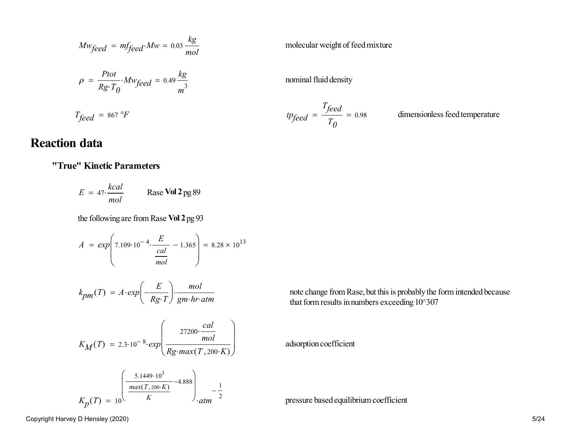$$
Mw_{feed} = m f_{feed} \cdot Mw = 0.03 \frac{kg}{mol}
$$
  
\n
$$
\rho = \frac{Ptot}{Rg \cdot T_0} \cdot Mw_{feed} = 0.49 \frac{kg}{m^3}
$$
  
\n
$$
T_{feed} = 867 \text{ }^\circ F
$$
  
\n
$$
T_{feed} = 867 \text{ }^\circ F
$$
  
\n
$$
T_{feed} = 0.98
$$
  
\n
$$
T_{f}
$$
  
\n
$$
T_{f}
$$
  
\n
$$
T_{f}
$$
  
\n
$$
T_{f}
$$
  
\n
$$
T_{f}
$$
  
\n
$$
T_{f}
$$
  
\n
$$
T_{f}
$$
  
\n
$$
T_{f}
$$
  
\n
$$
T_{f}
$$
  
\n
$$
T_{f}
$$
  
\n
$$
T_{f}
$$
  
\n
$$
T_{f}
$$
  
\n
$$
T_{f}
$$
  
\n
$$
T_{f}
$$
  
\n
$$
T_{f}
$$
  
\n
$$
T_{f}
$$
  
\n
$$
T_{f}
$$
  
\n
$$
T_{f}
$$
  
\n
$$
T_{f}
$$
  
\n
$$
T_{f}
$$
  
\n
$$
T_{f}
$$
  
\n
$$
T_{f}
$$
  
\n
$$
T_{f}
$$
  
\n
$$
T_{f}
$$
  
\n
$$
T_{f}
$$
  
\n
$$
T_{f}
$$
  
\n
$$
T_{f}
$$
  
\n
$$
T_{f}
$$
  
\n
$$
T_{f}
$$
  
\n
$$
T_{f}
$$
  
\n
$$
T_{f}
$$
  
\n
$$
T_{f}
$$
  
\n
$$
T_{f}
$$
  
\n
$$
T_{f}
$$
  
\n
$$
T_{f}
$$
  
\n
$$
T_{f}
$$
  
\n
$$
T_{f}
$$
  
\n
$$
T_{f}
$$
  
\n
$$
T_{f}
$$
  
\n
$$
T_{f}
$$
  
\

dimensionless feed temperature

## **Reaction data**

#### **"True" Kinetic Parameters**

 $E = 47$  $= 47 \cdot \frac{kcal}{mol}$  Rase **Vol 2** pg 89

the following are from Rase **Vol 2** pg 93

$$
A = exp\left(7.109 \cdot 10^{-4} \cdot \frac{E}{\frac{cal}{mol}} - 1.365\right) = 8.28 \times 10^{13}
$$

$$
k_{pm}(T) = A \cdot exp\left(-\frac{E}{Rg \cdot T}\right) \cdot \frac{mol}{gm \cdot hr \cdot atm}
$$

$$
K_M(T) = 2.3 \cdot 10^{-8} \cdot exp\left(\frac{27200 \cdot \frac{cal}{mol}}{Rg \cdot max(T, 200 \cdot K)}\right)
$$
 adsorption coefficient

$$
K_p(T) = 10 \left( \frac{5.1449 \cdot 10^3}{K} - 4.888 \right)_{\text{atm}} - \frac{1}{2}
$$

note change from Rase, but this is probably the form intended because that form results in numbers exceeding  $10^{\circ}307$ 

pressure based equilibrium coefficient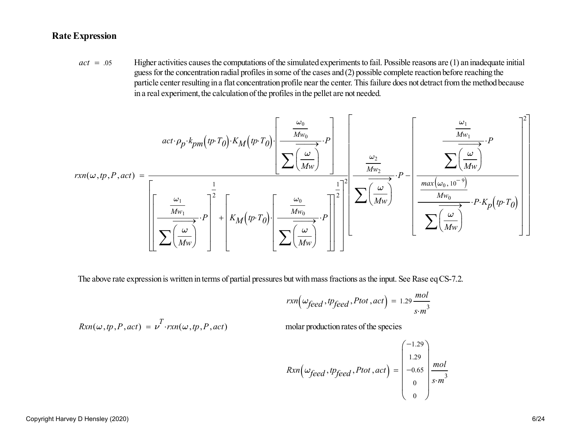### **Rate Expression**

*act* <sup>=</sup>Higher activities causes the computations of the simulated experiments to fail. Possible reasons are (1) an inadequate initial guess for the concentration radial profiles in some of the cases and (2) possible complete reaction before reaching the particle center resulting in a flat concentration profile near the center. This failure does not detract from the method becausein a real experiment, the calculation of the profiles in the pellet are not needed.

$$
rxn(\omega,tp,P,act) = \frac{act \cdot \rho_p \cdot k_{pm}(tp \cdot T_0) \cdot K_M(p \cdot T_0)}{\left[\frac{\frac{\omega_1}{\omega_1}}{\sum (\frac{\omega_1}{\omega_2})}\cdot P\right]^{2} + \left[K_M(p \cdot T_0)\cdot \left[\frac{\frac{\omega_0}{\omega_0}}{\sum (\frac{\omega_0}{\omega_0})}\cdot P\right]\right]^{2}\left[\frac{\frac{\omega_2}{\omega_2}}{\sum (\frac{\omega_2}{\omega_0})}\cdot P - \left[\frac{\frac{max(\omega_0, 10^{-9})}{Mw_0}}{\sum (\frac{\omega_0}{\omega_0})}\cdot P \cdot K_p(p \cdot T_0)\right]\right]^{2}}
$$

The above rate expression is written in terms of partial pressures but with mass fractions as the input. See Rase eq CS-7.2.

$$
rxn\Big(\omega_{feed}, \text{tp}_{feed}, \text{Ptot}, \text{act}\Big) = 1.29 \frac{mol}{s \cdot m^3}
$$

$$
Rxn(\omega,tp,P,act) = \nu^T \cdot rxn(\omega,tp,P,act)
$$

*Fxn*(*rxn)*  $\alpha$ , *molar production rates of the species* 

$$
Rxn\left(\omega_{feed}, t p_{feed}, Ptot, act\right) = \begin{pmatrix} -1.29 \\ 1.29 \\ -0.65 \\ 0 \\ 0 \end{pmatrix} \frac{mol}{s \cdot m^3}
$$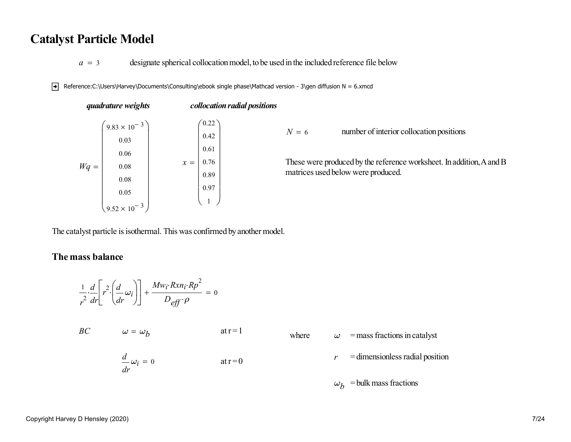## **Catalyst Particle Model**

*a* <sup>=</sup>designate spherical collocation model, to be used in the included reference file below

Reference:C:\Users\Harvey\Documents\Consulting\ebook single phase\Mathcad version - 3\gen diffusion N = 6.xmcd

| quadrature weights                                                                     |       |                                                                                |                                                                                                                                                        |
|----------------------------------------------------------------------------------------|-------|--------------------------------------------------------------------------------|--------------------------------------------------------------------------------------------------------------------------------------------------------|
| $9.83 \times 10^{-3}$<br>0.03<br>0.06<br>0.08<br>0.08<br>0.05<br>$9.52 \times 10^{-3}$ | $x =$ | $N=6$                                                                          | number of interior collocation positions<br>These were produced by the reference worksheet. In addition, A and B<br>matrices used below were produced. |
|                                                                                        |       | collocation radial positions<br>(0.22)<br>0.42<br>0.61<br>0.76<br>0.89<br>0.97 |                                                                                                                                                        |

The catalyst particle is isothermal. This was confirmed by another model.

#### **The mass balance**

$$
\frac{1}{r^2} \frac{d}{dr} \left[ r^2 \left( \frac{d}{dr} \omega_i \right) \right] + \frac{M w_i \cdot R x n_i \cdot R p^2}{D_{\text{eff}} \cdot \rho} = 0
$$

*BC* $\omega = \omega_b$  $=\omega_b$  at r = 1 where  $\omega$  $\omega$  = mass fractions in catalyst *r* = dimensionless radial position *rωi*  $\frac{d}{dr}\omega_i = 0$  at r = 0  $\omega_b$  = bulk mass fractions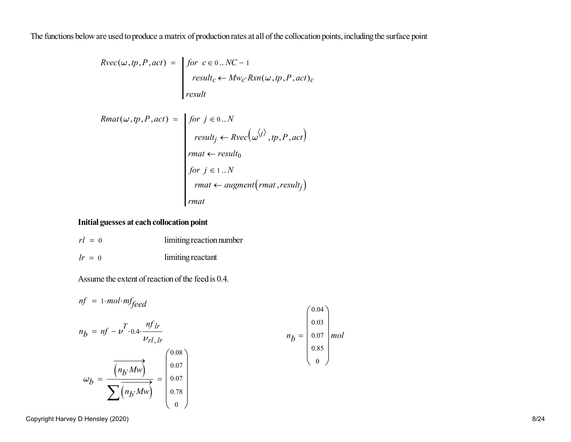The functions below are used to produce a matrix of production rates at all of the collocation points, including the surface point

$$
Rvec(\omega, tp, P, act) = \begin{vmatrix} for & c \in 0.. NC - 1 \\ result_c \leftarrow Mw_c \cdot Rxn(\omega, tp, P, act)_c \\ result \end{vmatrix}
$$

$$
Rmat(\omega, tp, P, act) = \begin{cases} for \ j \in 0..N \\ result_j \leftarrow Rvec(\omega^{j)}, tp, P, act) \\ rmat \leftarrow result_0 \\ for \ j \in 1..N \\ rmat \leftarrow augment(rmat, result_j) \\ rmat \leftarrow current(rmat, result_j) \end{cases}
$$

#### **Initial guesses at each collocation point**

| $rl = 0$ | limiting reaction number |
|----------|--------------------------|
| $lr = 0$ | limiting reactant        |

Assume the extent of reaction of the feed is 0.4.

$$
nf = 1 \cdot mol \cdot mf_{feed}
$$
\n
$$
n_b = nf - \nu^T \cdot 0.4 \cdot \frac{nf_{lr}}{\nu_{rl,lr}}
$$
\n
$$
\omega_b = \frac{\overbrace{\begin{pmatrix} n_b \cdot Mw \end{pmatrix}}^{\text{(0.08)}}}{\sum \overbrace{\begin{pmatrix} n_b \cdot Mw \end{pmatrix}}^{\text{(0.08)}}} = \begin{pmatrix} 0.07 \\ 0.07 \\ 0.07 \\ 0.07 \\ 0.78 \\ 0 \end{pmatrix}
$$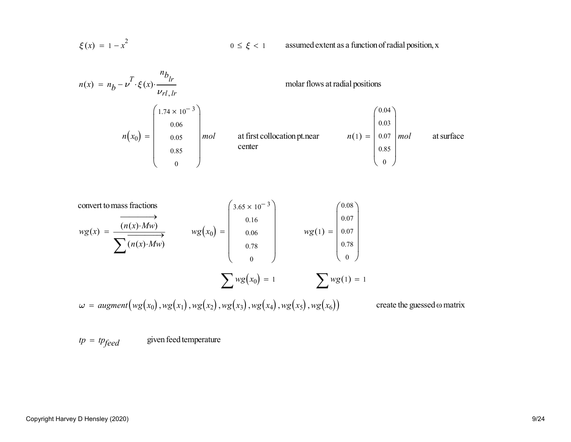$$
\xi(x) = 1 - x^2
$$

 $0 \le \xi < 1$  assumed extent as a function of radial position, x



convert to mass fractions

\n
$$
wg(x) = \frac{(n(x) \cdot Mw)}{\sum (n(x) \cdot Mw)} \quad wg(x_0) = \begin{pmatrix} 3.65 \times 10^{-3} \\ 0.16 \\ 0.06 \\ 0.78 \\ 0 \end{pmatrix} \quad wg(1) = \begin{pmatrix} 0.08 \\ 0.07 \\ 0.07 \\ 0.78 \\ 0 \end{pmatrix}
$$
\n
$$
\sum wg(x_0) = 1 \quad \sum wg(1) = 1
$$
\n
$$
\omega = augment(wg(x_0), wg(x_1), wg(x_2), wg(x_3),wg(x_4),wg(x_5),wg(x_6)) \quad \text{create the guessed on matrix}
$$

 $tp = tp_{feed}$ given feed temperature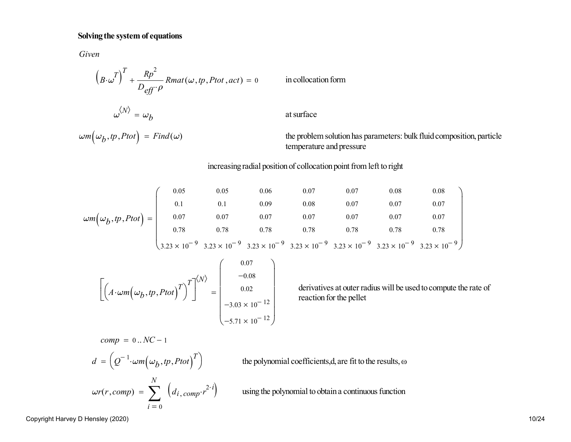#### **Solving the system of equations**

*Given*

$$
(B \cdot \omega^T)^T + \frac{Rp^2}{D_{eff} \cdot \rho} Rmat(\omega, tp, Ptot, act) = 0
$$
 in collocation form  

$$
\omega^{\langle N \rangle} = \omega_b
$$
 at surface

 $\omega$ *m* ( $\omega_b$ 

the problem solution has parameters: bulk fluid composition, particle temperature and pressure

increasing radial position of collocation point from left to right

$$
\omega m(\omega_b, tp, Ptot) = \begin{pmatrix}\n0.05 & 0.05 & 0.06 & 0.07 & 0.07 & 0.08 & 0.08 \\
0.1 & 0.1 & 0.09 & 0.08 & 0.07 & 0.07 & 0.07 \\
0.07 & 0.07 & 0.07 & 0.07 & 0.07 & 0.07 & 0.07 \\
0.78 & 0.78 & 0.78 & 0.78 & 0.78 & 0.78 & 0.78 \\
3.23 \times 10^{-9} & 3.23 \times 10^{-9} & 3.23 \times 10^{-9} & 3.23 \times 10^{-9} & 3.23 \times 10^{-9} & 3.23 \times 10^{-9}\n\end{pmatrix}
$$

$$
\left[ \left( A \cdot \omega m \Big( \omega_b, tp, Ptot \Big)^T \right)^T \right]^{(N)} = \begin{pmatrix} 0.07 \\ -0.08 \\ 0.02 \\ -3.03 \times 10^{-12} \\ -5.71 \times 10^{-12} \end{pmatrix}
$$
 derivatives at outer r  
reaction for the pellet

derivatives at outer radius will be used to compute the rate ofreaction for the pellet

 $comp = 0..NC-1$ 

$$
d = \left(Q^{-1} \cdot \omega m \left(\omega_b, tp, Ptot\right)^T\right)
$$
 the polynomial coefficients, d, are fit to the results,  $\omega$   

$$
\omega r(r, comp) = \sum_{i=0}^{N} \left(d_{i, comp} \cdot r^{2 \cdot i}\right)
$$
 using the polynomial to obtain a continuous function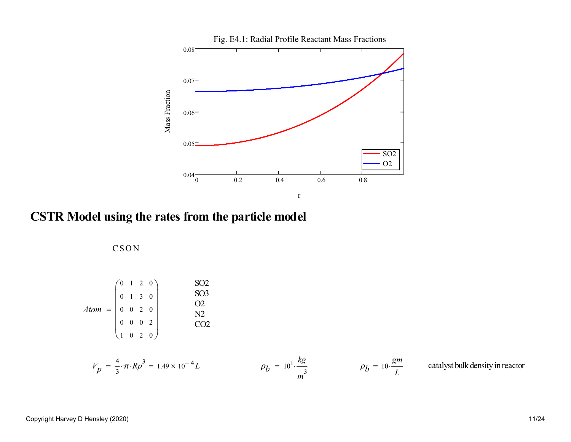

**CSTR Model using the rates from the particle model**

**CSON** 

$$
Atom = \begin{pmatrix} 0 & 1 & 2 & 0 \\ 0 & 1 & 3 & 0 \\ 0 & 0 & 2 & 0 \\ 0 & 0 & 0 & 2 \\ 1 & 0 & 2 & 0 \end{pmatrix}
$$

$$
V_p = \frac{4}{3} \cdot \pi \cdot Rp^3 = 1.49 \times 10^{-4} L
$$
  

$$
\rho_b = 10^1 \cdot \frac{kg}{m^3}
$$
  

$$
\rho_b = 10 \cdot \frac{gm}{L}
$$
  
catalyst bulk density in reactor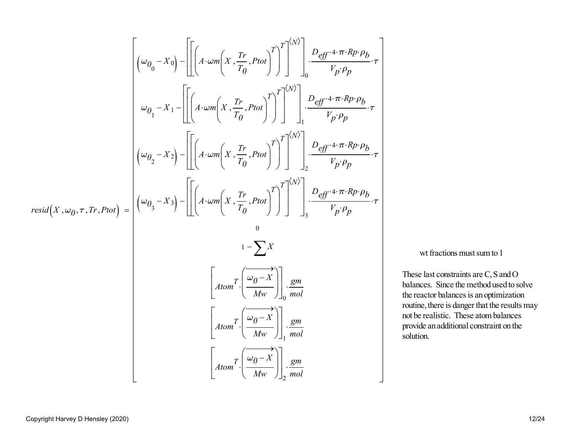$$
\begin{bmatrix}\n(\omega_{0_{0}}-X_{0})-\left[\left[\left(A\cdot\omega m\left(X,\frac{Tr}{T_{0}},Ptot\right)^{T}\right]^{T}\right]^{(N)}\right]_{0} \frac{D_{eff}\cdot4\cdot\pi\cdot R_{P}\cdot\rho_{b}}{V_{p}\cdot\rho_{p}}\cdot\tau \\
\omega_{0_{1}}-X_{1}-\left[\left[A\cdot\omega m\left(X,\frac{Tr}{T_{0}},Ptot\right)^{T}\right]^{T}\right]^{(N)}\right]_{1} \frac{D_{eff}\cdot4\cdot\pi\cdot R_{P}\cdot\rho_{b}}{V_{p}\cdot\rho_{p}}\cdot\tau \\
(\omega_{0_{2}}-X_{2})-\left[\left[A\cdot\omega m\left(X,\frac{Tr}{T_{0}},Ptot\right)^{T}\right]^{T}\right]^{(N)}\right]_{2} \frac{D_{eff}\cdot4\cdot\pi\cdot R_{P}\cdot\rho_{b}}{V_{p}\cdot\rho_{p}}\cdot\tau \\
resid(X,\omega_{0},\tau,T_{r},Ptot)=\begin{bmatrix}\n(\omega_{0_{3}}-X_{3})-\left[\left(A\cdot\omega m\left(X,\frac{Tr}{T_{0}},Ptot\right)^{T}\right]^{T}\right]^{(N)}\right]_{3} \frac{D_{eff}\cdot4\cdot\pi\cdot R_{P}\cdot\rho_{b}}{V_{p}\cdot\rho_{p}}\cdot\tau \\
0\n\end{bmatrix} \\
\frac{A\cdot\tan^{T}\left[\frac{\omega_{0}-X}{Mw}\right]_{0} \frac{S_{eff}}{mol}}{Mw}\cdot\left[\begin{array}{c}\nA\cdot\tan^{T}\left[\frac{\omega_{0}-X}{Mw}\right] \end{array}\right] \frac{S_{eff}}{Mw}\cdot\frac{S_{eff}}{Mw}\n\end{bmatrix}
$$

wt fractions must sum to 1

These last constraints are C, S and O balances. Since the method used to solvethe reactor balances is an optimization routine, there is danger that the results maynot be realistic. These atom balances provide an additional constraint on thesolution.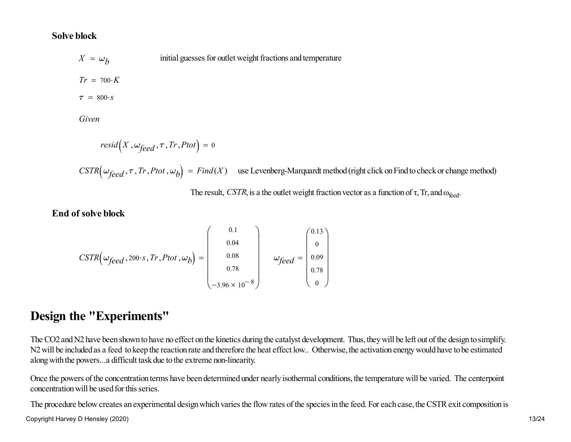#### **Solve block**

 $X = \omega_b$ initial guesses for outlet weight fractions and temperature  $Tr = 700 \cdot K$  $\tau = 800 \cdot s$ 

*Given*

$$
resid(X, \omega_{feed}, \tau, Tr, Ptot) = 0
$$

 $CSTR\left(\omega_{feed}, \tau, Tr, Ptot, \omega_b\right) = Find(X)$  use Levenberg-Marquardt method (right click on Find to check or change method)

The result, *CSTR*, is a the outlet weight fraction vector as a function of  $\tau$ , Tr, and  $\omega_{\text{feed}}$ .

#### **End of solve block**

$$
CSTR\left(\omega_{feed}, 200 \cdot s, Tr, Ptot, \omega_b\right) = \begin{pmatrix} 0.1 \\ 0.04 \\ 0.08 \\ 0.78 \\ -3.96 \times 10^{-8} \end{pmatrix} \quad \omega_{feed} = \begin{pmatrix} 0.13 \\ 0 \\ 0.09 \\ 0.78 \\ 0 \end{pmatrix}
$$

## **Design the "Experiments"**

The CO2 and N2 have been shown to have no effect on the kinetics during the catalyst development. Thus, they will be left out of the design to simplify.N2 will be included as a feed to keep the reaction rate and therefore the heat effect low.. Otherwise, the activation energy would have to be estimatedalong with the powers...a difficult task due to the extreme non-linearity.

Once the powers of the concentration terms have been determined under nearly isothermal conditions, the temperature will be varied. The centerpointconcentration will be used for this series.

The procedure below creates an experimental design which varies the flow rates of the species in the feed. For each case, the CSTR exit composition is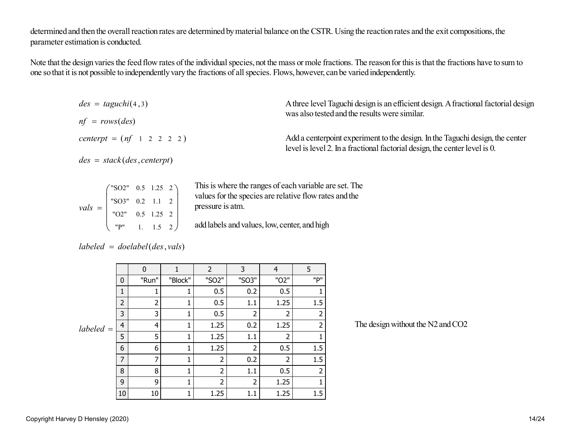determined and then the overall reaction rates are determined by material balance on the CSTR. Using the reaction rates and the exit compositions, theparameter estimation is conducted.

Note that the design varies the feed flow rates of the individual species, not the mass or mole fractions. The reason for this is that the fractions have to sum toone so that it is not possible to independently vary the fractions of all species. Flows, however, can be varied independently.

| $des = taguchi(4,3)$        | A three level Taguchi design is an efficient design. A fractional factorial design                                                                          |
|-----------------------------|-------------------------------------------------------------------------------------------------------------------------------------------------------------|
| $nf = rows(deg)$            | was also tested and the results were similar.                                                                                                               |
| $centerpt = (nf 1 2 2 2 2)$ | Add a centerpoint experiment to the design. In the Taguchi design, the center<br>level is level 2. In a fractional factorial design, the center level is 0. |
| $des = stack(des,centerpt)$ |                                                                                                                                                             |

|                                                                                                                | $($ "SO2" 0.5 1.25 2)                                               |  | This is where the ranges of each variable a                       |
|----------------------------------------------------------------------------------------------------------------|---------------------------------------------------------------------|--|-------------------------------------------------------------------|
|                                                                                                                | "SO3" $0.2$ 1.1 2                                                   |  | values for the species are relative flow rate<br>pressure is atm. |
| $vals = \begin{bmatrix} \cdot & \cdot & \cdot \\ \cdot & \cdot & \cdot \\ \cdot & \cdot & \cdot \end{bmatrix}$ | "O2" $0.5$ 1.25 2                                                   |  |                                                                   |
|                                                                                                                | $\begin{bmatrix} \text{P}^{\text{II}} & 1. & 1.5 & 2 \end{bmatrix}$ |  | add labels and values, low, center, and high                      |

This is where the ranges of each variable are set. The values for the species are relative flow rates and thepressure is atm.

|  | $labeled = doelabel (des, vals)$ |  |
|--|----------------------------------|--|
|  |                                  |  |

|           |                | $\mathbf{0}$ |         | 2              | 3     | $\overline{4}$ | 5   |                                   |
|-----------|----------------|--------------|---------|----------------|-------|----------------|-----|-----------------------------------|
|           | $\mathbf 0$    | "Run"        | "Block" | "SO2"          | "SO3" | "O2"           | "P" |                                   |
|           | 1              |              |         | 0.5            | 0.2   | 0.5            |     |                                   |
|           | $\overline{2}$ | ำ            |         | 0.5            | 1.1   | 1.25           | 1.5 |                                   |
|           | 3              | 3            |         | 0.5            |       |                | 2   |                                   |
| labeled = | $\overline{4}$ | 4            |         | 1.25           | 0.2   | 1.25           | 2   | The design without the N2 and CO2 |
|           | 5              | 5            |         | 1.25           | 1.1   | 2              |     |                                   |
|           | 6              | 6            |         | 1.25           |       | 0.5            | 1.5 |                                   |
|           | 7              | 7            |         | 2              | 0.2   | 2              | 1.5 |                                   |
|           | 8              | 8            |         | 2              | 1.1   | 0.5            | ำ   |                                   |
|           | 9              | 9            |         | $\overline{2}$ |       | 1.25           |     |                                   |
|           | 10             | 10           |         | 1.25           | 1.1   | 1.25           | 1.5 |                                   |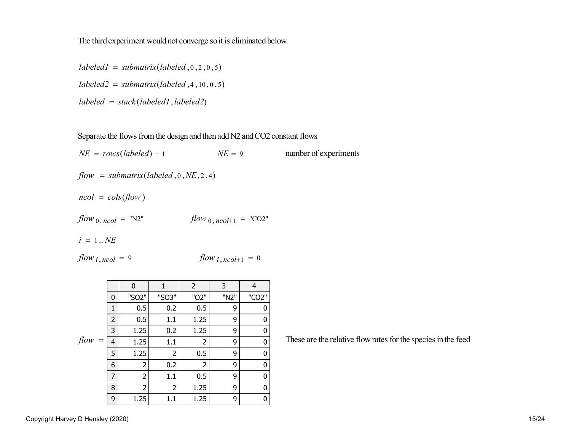The third experiment would not converge so it is eliminated below.

 $labeled1 = submatrix(labeled, 0, 2, 0, 5)$  $labeled2 = submatrix(labeled, 4, 10, 0, 5)$  $labeled = stack(labeled1,labeled2)$ 

Separate the flows from the design and then add N2 and CO2 constant flows

 $NE = rows(labeled) - 1$   $NE = 9$  number of experiments  $flow = submatrix(labeled, 0, NE, 2, 4)$  $ncol = \text{cols}(\text{flow})$  $flow_{0, ncol} = "N2"$   $flow_{0, ncol+1} = "CO2"$  $i = 1..NE$ *flow*  $i$ , *ncol* = 9  $flow$  *i*,  $ncol+1 = 0$ 

|                           |                | 0     | 1              | $\overline{2}$ | 3    | 4                  |
|---------------------------|----------------|-------|----------------|----------------|------|--------------------|
|                           | 0              | "SO2" | "SO3"          | "O2"           | "N2" | "CO <sub>2</sub> " |
|                           | 1              | 0.5   | 0.2            | 0.5            | 9    | 0                  |
|                           | $\overline{2}$ | 0.5   | 1.1            | 1.25           | 9    | 0                  |
|                           | 3              | 1.25  | 0.2            | 1.25           | 9    | 0                  |
| flow<br>$\alpha = \alpha$ | 4              | 1.25  | 1.1            | 2              | 9    | 0                  |
|                           | 5              | 1.25  | $\overline{2}$ | 0.5            | 9    | 0                  |
|                           | 6              | 2     | 0.2            | 2              | 9    | 0                  |
|                           | 7              | 2     | 1.1            | 0.5            | 9    | 0                  |
|                           | 8              | 2     | $\overline{2}$ | 1.25           | 9    | 0                  |
|                           | 9              | 1.25  | 1.1            | 1.25           | 9    | 0                  |

These are the relative flow rates for the species in the feed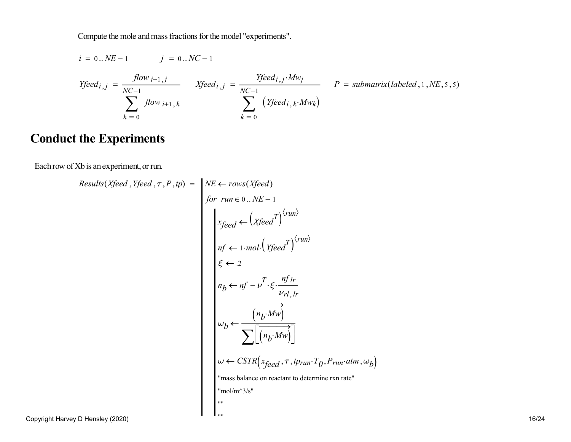Compute the mole and mass fractions for the model "experiments".

$$
i = 0..NE-1
$$
  $j = 0..NC-1$ 

$$
Yfeed_{i,j} = \frac{flow_{i+1,j}}{NC-1}
$$
  
\n
$$
Xfeed_{i,j} = \frac{Yfeed_{i,j} \cdot Mw_j}{NC-1}
$$
  
\n
$$
P = submatrix(labeled, 1, NE, 5, 5)
$$
  
\n
$$
k = 0
$$
  
\n
$$
P = submatrix(labeled, 1, NE, 5, 5)
$$

## **Conduct the Experiments**

Each row of Xb is an experiment, or run.

Results(Xfeed, Yfeed, T, P, tp) = 
$$
NE \leftarrow rows(Xfeed)
$$
  
for run  $\in 0..NE - 1$   

$$
\begin{aligned}\n\text{Area} \leftarrow \left(Xfeed^T\right)^{\langle run \rangle} \\
\text{nf} \leftarrow 1 \cdot mol \cdot \left(Yfeed^T\right)^{\langle run \rangle} \\
\text{f} \leftarrow 2 \\
n_b \leftarrow nf - \nu^T \cdot \xi \cdot \frac{nf \cdot lr}{\nu_{r1,lr}} \\
\omega_b \leftarrow \frac{\overbrace{(n_b \cdot Mw)}}{\sum \left[\overbrace{(n_b \cdot Mw)}\right]} \\
\omega \leftarrow \text{CSTR}\left(x_{feed}, \tau, t_{Prun} \cdot T_0, P_{run} \cdot atm, \omega_b\right) \\
\text{''mass balance on reactant to determine rxn rate''} \\
\text{''mol/m^3/s''}\n\end{aligned}
$$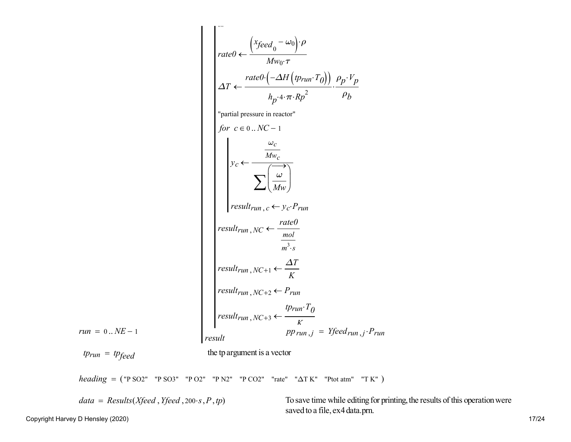$$
rate0 \leftarrow \frac{(xfeed_0 - \omega_0) \cdot \rho}{Mw_0 \cdot \tau}
$$
\n
$$
\Delta T \leftarrow \frac{rate0 \cdot (-\Delta H (p_{run} \cdot T_0))}{M_{p^2} \cdot \tau \cdot R_p^2} \cdot \frac{\rho_p \cdot V_p}{\rho_b}
$$
\n"partial pressure in reactor"  
\n
$$
for \space c \in 0..N C - 1
$$
\n
$$
y_c \leftarrow \frac{\omega_c}{Mw_c}
$$
\n
$$
\sum \left(\frac{\omega}{Mw}\right)
$$
\n
$$
result_{run}, c \leftarrow y_c \cdot P_{run}
$$
\n
$$
result_{run}, NC + 1 \leftarrow \frac{rate0}{K}
$$
\n
$$
result_{run}, NC + 1 \leftarrow \frac{\Delta T}{K}
$$
\n
$$
result_{run}, NC + 2 \leftarrow P_{run}
$$
\n
$$
result_{run}, NC + 2 \leftarrow P_{run}
$$
\n
$$
result_{run}, NC + 3 \leftarrow \frac{tp_{run} \cdot T_0}{K}
$$
\n
$$
result_{run}, NC + 3 \leftarrow \frac{tp_{run} \cdot T_0}{K}
$$
\n
$$
pp_{run}, j \leftarrow P_{run}
$$
\n
$$
tp_{run} = tp_{feed}
$$
\n
$$
the \space target
$$
\n
$$
the \space target
$$
\n
$$
t \approx \frac{tp_{run} \cdot T_0}{p p_{run}} = V_{feed_{run}, j \cdot P_{run}
$$

*heading* = ("P SO2" "P SO3" "P O2" "P N2" "P CO2" "rate" "∆T K" "Ptot atm" "T K")

*data* = Results(*Xfeed*, *Yfeed*, 200*·s*, *P*, *tp*) To save time while editing for printing, the results of this operation were saved to a file, ex4 data.prn.

Copyright Harvey D Hensley (2020)

*run* <sup>=</sup> <sup>0</sup> .. *NE*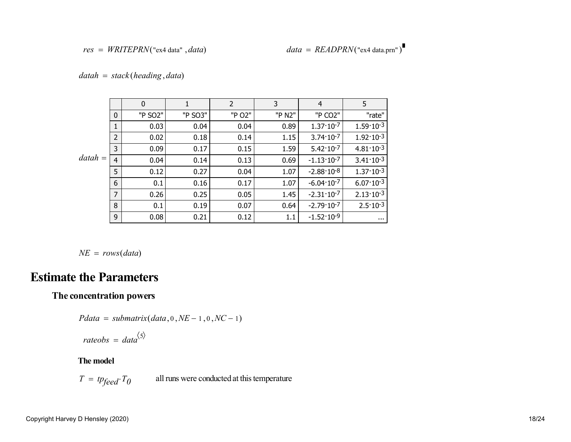$datah = stack(heading, data)$ 

|           |                | 0       | 1       | $\overline{2}$ | 3      | 4                     | 5                    |
|-----------|----------------|---------|---------|----------------|--------|-----------------------|----------------------|
|           | $\mathbf{0}$   | "P SO2" | "P SO3" | "P O2"         | "P N2" | "P CO2"               | "rate"               |
|           | $\mathbf{1}$   | 0.03    | 0.04    | 0.04           | 0.89   | $1.37 \cdot 10^{-7}$  | $1.59 \cdot 10^{-3}$ |
|           | $\overline{2}$ | 0.02    | 0.18    | 0.14           | 1.15   | $3.74 \cdot 10^{-7}$  | $1.92 \cdot 10^{-3}$ |
|           | 3              | 0.09    | 0.17    | 0.15           | 1.59   | $5.42 \cdot 10^{-7}$  | $4.81 \cdot 10^{-3}$ |
| $datah =$ | $\overline{4}$ | 0.04    | 0.14    | 0.13           | 0.69   | $-1.13 \cdot 10^{-7}$ | $3.41 \cdot 10^{-3}$ |
|           | 5              | 0.12    | 0.27    | 0.04           | 1.07   | $-2.88 \cdot 10^{-8}$ | $1.37 \cdot 10^{-3}$ |
|           | 6              | 0.1     | 0.16    | 0.17           | 1.07   | $-6.04 \cdot 10^{-7}$ | $6.07 \cdot 10^{-3}$ |
|           | $\overline{7}$ | 0.26    | 0.25    | 0.05           | 1.45   | $-2.31 \cdot 10^{-7}$ | $2.13 \cdot 10^{-3}$ |
|           | 8              | 0.1     | 0.19    | 0.07           | 0.64   | $-2.79 \cdot 10^{-7}$ | $2.5 \cdot 10^{-3}$  |
|           | 9              | 0.08    | 0.21    | 0.12           | 1.1    | $-1.52 \cdot 10^{-9}$ |                      |

 $NE = rows(data)$ 

## **Estimate the Parameters**

#### **The concentration powers**

$$
Pdata = submatrix(data, 0, NE-1, 0, NC-1)
$$

$$
rateobs = data^{\langle 5 \rangle}
$$

#### **The model**

 $T = tp<sub>feed</sub> \cdot T_0$ all runs were conducted at this temperature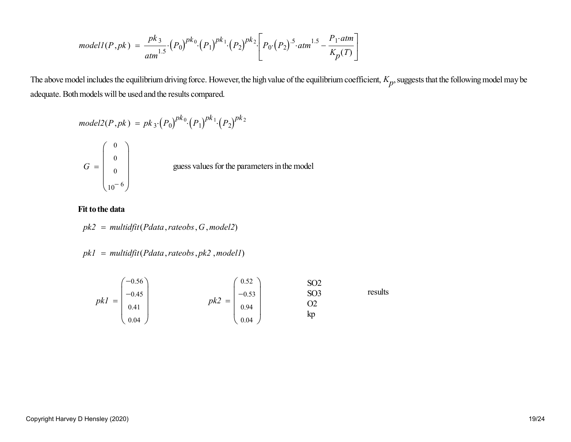$$
modelI(P, pk) = \frac{pk_3}{atm^{1.5}} \cdot (P_0)^{pk_0} \cdot (P_1)^{pk_1} \cdot (P_2)^{pk_2} \cdot \left[ P_0 \cdot (P_2)^{.5} \cdot atm^{1.5} - \frac{P_1 \cdot atm}{K_p(T)} \right]
$$

The above model includes the equilibrium driving force. However, the high value of the equilibrium coefficient, *Kp*, suggests that the following model may be adequate. Both models will be used and the results compared.

model2(P,pk) = pk<sub>3</sub>·(P<sub>0</sub>)<sup>pk<sub>0</sub></sup>·(P<sub>1</sub>)<sup>pk<sub>1</sub></sup>·(P<sub>2</sub>)<sup>pk<sub>2</sub></sup>  
\nG = 
$$
\begin{pmatrix} 0 \\ 0 \\ 0 \\ 10^{-6} \end{pmatrix}
$$
 guess values for the parameters in the model

#### **Fit to the data**

$$
pk2 = \mathit{multidiff}(Pdata, rateobs, G, model2)
$$

$$
pk1 = multidfit(Pdata, rateobs, pk2, model1)
$$

$$
pk1 = \begin{pmatrix} -0.56 \\ -0.45 \\ 0.41 \\ 0.04 \end{pmatrix} \qquad pk2 = \begin{pmatrix} 0.52 \\ -0.53 \\ 0.94 \\ 0.04 \end{pmatrix} \qquad \begin{array}{c} SO2 \\ SO3 \\ O2 \\ kp \end{array} \qquad \text{results} \qquad
$$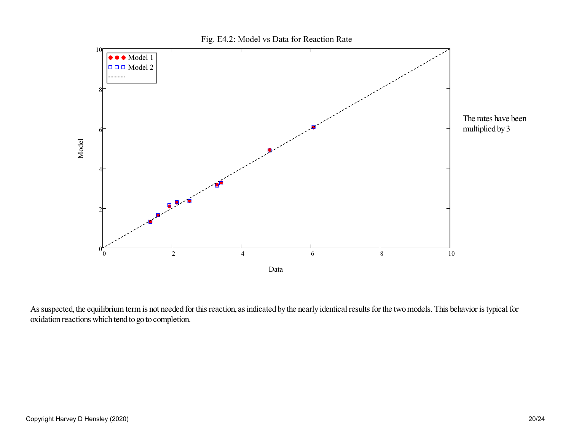

As suspected, the equilibrium term is not needed for this reaction, as indicated by the nearly identical results for the two models. This behavior is typical foroxidation reactions which tend to go to completion.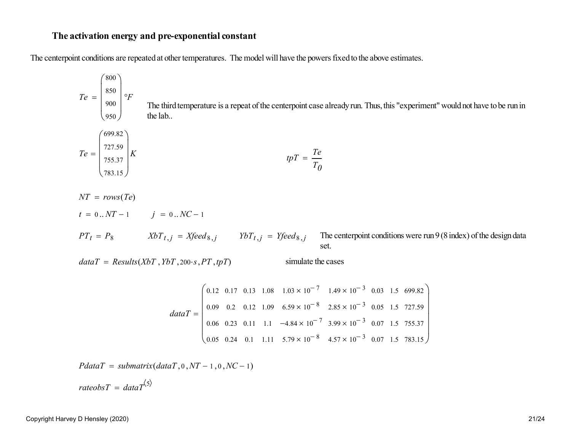#### **The activation energy and pre-exponential constant**

The centerpoint conditions are repeated at other temperatures. The model will have the powers fixed to the above estimates.

$$
Te = \begin{pmatrix} 800 \\ 850 \\ 900 \\ 950 \end{pmatrix} \circ F
$$
  
The third temperature is a repeat of the centerpoint case already run. Thus, this "experiment" would not have to be run in the lab.  

$$
Te = \begin{pmatrix} 699.82 \\ 727.59 \\ 753.7 \end{pmatrix} K
$$

$$
tpT = \frac{Te}{T_0}
$$
  

$$
NT = rows(Te)
$$

$$
t = 0..NT - 1 \qquad j = 0..NC - 1
$$

$$
PT_t = P_8 \qquad XbT_{t,j} = Xfeed_{8,j} \qquad YbT_{t,j} = Yfeed_{8,j} \qquad \text{The centerpoint conditions were run 9 (8 index) of the design data set.}
$$

 $dataT = Results(XbT, YbT, 200 \cdot s, PT, tpT)$  simulate the cases

$$
dataT = \begin{pmatrix} 0.12 & 0.17 & 0.13 & 1.08 & 1.03 \times 10^{-7} & 1.49 \times 10^{-3} & 0.03 & 1.5 & 699.82 \\ 0.09 & 0.2 & 0.12 & 1.09 & 6.59 \times 10^{-8} & 2.85 \times 10^{-3} & 0.05 & 1.5 & 727.59 \\ 0.06 & 0.23 & 0.11 & 1.1 & -4.84 \times 10^{-7} & 3.99 \times 10^{-3} & 0.07 & 1.5 & 755.37 \\ 0.05 & 0.24 & 0.1 & 1.11 & 5.79 \times 10^{-8} & 4.57 \times 10^{-3} & 0.07 & 1.5 & 783.15 \end{pmatrix}
$$

 $PdataT = submatrix(dataT, 0, NT - 1, 0, NC - 1)$ 

 $rateobsT = dataT^{\langle 5 \rangle}$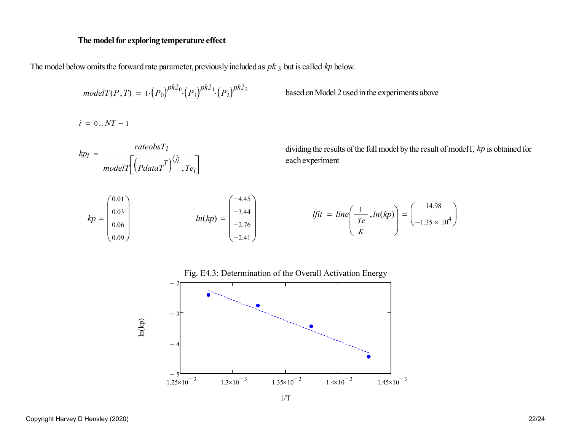#### **The model for exploring temperature effect**

The model below omits the forward rate parameter, previously included as *pk* <sup>3</sup> but is called *kp* below.

$$
modelT(P, T) = 1 \cdot (P_0)^{pk2_0} \cdot (P_1)^{pk2_1} \cdot (P_2)^{pk2_2}
$$

*Posed* on Model 2 used in the experiments above

 $i = 0..NT - 1$ 





1/T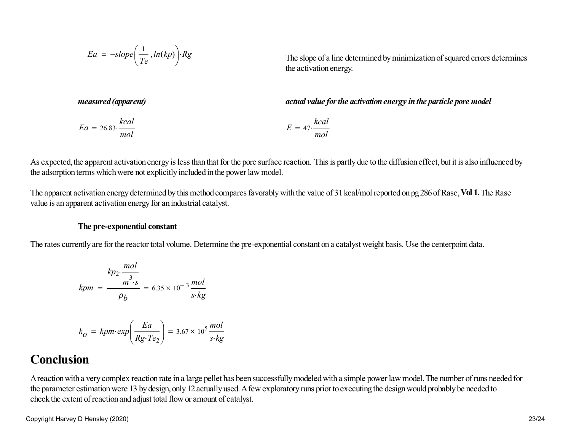$$
Ea = -slope\left(\frac{1}{Te}, ln(kp)\right) \cdot Rg
$$

The slope of a line determined by minimization of squared errors determines the activation energy.

*measured (apparent)* actual value for the activation energy in the particle pore model

$$
Ea = 26.83 \cdot \frac{kcal}{mol}
$$
\n
$$
E = 47 \cdot \frac{kcal}{mol}
$$

As expected, the apparent activation energy is less than that for the pore surface reaction. This is partly due to the diffusion effect, but it is also influenced bythe adsorption terms which were not explicitly included in the power law model.

The apparent activation energy determined by this method compares favorably with the value of 31 kcal/mol reported on pg 286 of Rase, **Vol 1.** The Rasevalue is an apparent activation energy for an industrial catalyst.

#### **The pre-exponential constant**

The rates currently are for the reactor total volume. Determine the pre-exponential constant on a catalyst weight basis. Use the centerpoint data.

$$
k p_2 \cdot \frac{mol}{m^3 \cdot s} = 6.35 \times 10^{-3} \frac{mol}{s \cdot kg}
$$

$$
k_O = kpm \cdot exp\left(\frac{Ea}{Rg \cdot Te_2}\right) = 3.67 \times 10^5 \frac{mol}{s \cdot kg}
$$

## **Conclusion**

A reaction with a very complex reaction rate in a large pellet has been successfully modeled with a simple power law model. The number of runs needed forthe parameter estimation were 13 by design, only 12 actually used. A few exploratory runs prior to executing the design would probably be needed tocheck the extent of reaction and adjust total flow or amount of catalyst.